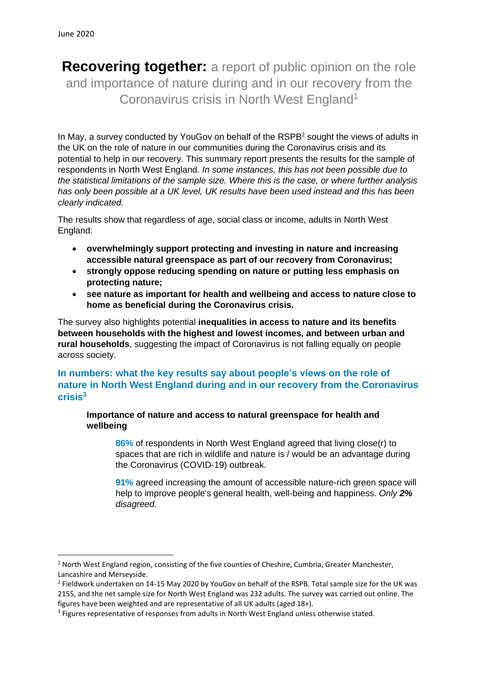**Recovering together:** a report of public opinion on the role and importance of nature during and in our recovery from the Coronavirus crisis in North West England<sup>1</sup>

In May, a survey conducted by YouGoy on behalf of the RSPB<sup>2</sup> sought the views of adults in the UK on the role of nature in our communities during the Coronavirus crisis and its potential to help in our recovery. This summary report presents the results for the sample of respondents in North West England. *In some instances, this has not been possible due to the statistical limitations of the sample size. Where this is the case, or where further analysis has only been possible at a UK level, UK results have been used instead and this has been clearly indicated.*

The results show that regardless of age, social class or income, adults in North West England:

- **overwhelmingly support protecting and investing in nature and increasing accessible natural greenspace as part of our recovery from Coronavirus;**
- **strongly oppose reducing spending on nature or putting less emphasis on protecting nature;**
- **see nature as important for health and wellbeing and access to nature close to home as beneficial during the Coronavirus crisis.**

The survey also highlights potential **inequalities in access to nature and its benefits between households with the highest and lowest incomes, and between urban and rural households**, suggesting the impact of Coronavirus is not falling equally on people across society.

# **In numbers: what the key results say about people's views on the role of nature in North West England during and in our recovery from the Coronavirus crisis 3**

**Importance of nature and access to natural greenspace for health and wellbeing**

**86%** of respondents in North West England agreed that living close(r) to spaces that are rich in wildlife and nature is / would be an advantage during the Coronavirus (COVID-19) outbreak.

**91%** agreed increasing the amount of accessible nature-rich green space will help to improve people's general health, well-being and happiness. *Only 2% disagreed.*

 $1$  North West England region, consisting of the five counties of Cheshire, Cumbria, Greater Manchester, Lancashire and Merseyside.

<sup>&</sup>lt;sup>2</sup> Fieldwork undertaken on 14-15 May 2020 by YouGov on behalf of the RSPB. Total sample size for the UK was 2155, and the net sample size for North West England was 232 adults. The survey was carried out online. The figures have been weighted and are representative of all UK adults (aged 18+).

<sup>&</sup>lt;sup>3</sup> Figures representative of responses from adults in North West England unless otherwise stated.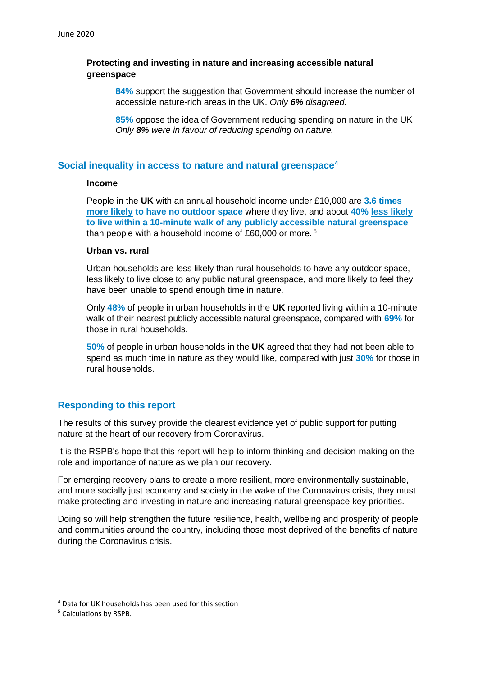### **Protecting and investing in nature and increasing accessible natural greenspace**

**84%** support the suggestion that Government should increase the number of accessible nature-rich areas in the UK. *Only 6% disagreed.*

**85%** oppose the idea of Government reducing spending on nature in the UK *Only 8% were in favour of reducing spending on nature.*

### **Social inequality in access to nature and natural greenspace<sup>4</sup>**

#### **Income**

People in the **UK** with an annual household income under £10,000 are **3.6 times more likely to have no outdoor space** where they live, and about **40% less likely to live within a 10-minute walk of any publicly accessible natural greenspace** than people with a household income of £60,000 or more. <sup>5</sup>

### **Urban vs. rural**

Urban households are less likely than rural households to have any outdoor space, less likely to live close to any public natural greenspace, and more likely to feel they have been unable to spend enough time in nature.

Only **48%** of people in urban households in the **UK** reported living within a 10-minute walk of their nearest publicly accessible natural greenspace, compared with **69%** for those in rural households.

**50%** of people in urban households in the **UK** agreed that they had not been able to spend as much time in nature as they would like, compared with just **30%** for those in rural households.

## **Responding to this report**

The results of this survey provide the clearest evidence yet of public support for putting nature at the heart of our recovery from Coronavirus.

It is the RSPB's hope that this report will help to inform thinking and decision-making on the role and importance of nature as we plan our recovery.

For emerging recovery plans to create a more resilient, more environmentally sustainable, and more socially just economy and society in the wake of the Coronavirus crisis, they must make protecting and investing in nature and increasing natural greenspace key priorities.

Doing so will help strengthen the future resilience, health, wellbeing and prosperity of people and communities around the country, including those most deprived of the benefits of nature during the Coronavirus crisis.

<sup>4</sup> Data for UK households has been used for this section

<sup>5</sup> Calculations by RSPB.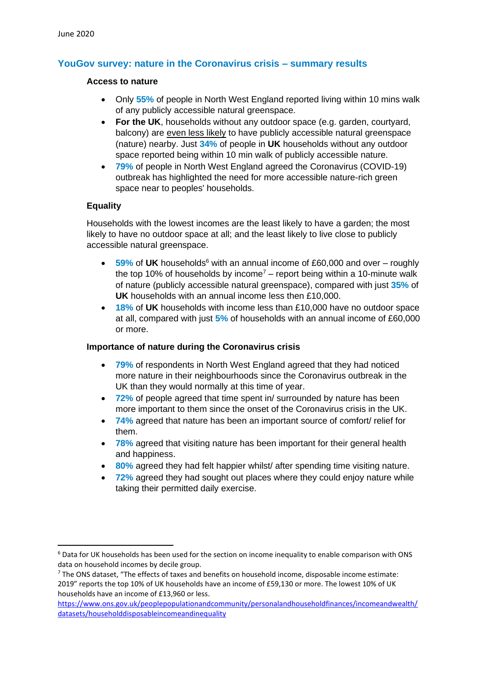# **YouGov survey: nature in the Coronavirus crisis – summary results**

#### **Access to nature**

- Only **55%** of people in North West England reported living within 10 mins walk of any publicly accessible natural greenspace.
- **For the UK**, households without any outdoor space (e.g. garden, courtyard, balcony) are even less likely to have publicly accessible natural greenspace (nature) nearby. Just **34%** of people in **UK** households without any outdoor space reported being within 10 min walk of publicly accessible nature.
- **79%** of people in North West England agreed the Coronavirus (COVID-19) outbreak has highlighted the need for more accessible nature-rich green space near to peoples' households.

### **Equality**

Households with the lowest incomes are the least likely to have a garden; the most likely to have no outdoor space at all; and the least likely to live close to publicly accessible natural greenspace.

- 59% of UK households<sup>6</sup> with an annual income of £60,000 and over roughly the top 10% of households by income<sup>7</sup> – report being within a 10-minute walk of nature (publicly accessible natural greenspace), compared with just **35%** of **UK** households with an annual income less then £10,000.
- **18%** of **UK** households with income less than £10,000 have no outdoor space at all, compared with just **5%** of households with an annual income of £60,000 or more.

### **Importance of nature during the Coronavirus crisis**

- **79%** of respondents in North West England agreed that they had noticed more nature in their neighbourhoods since the Coronavirus outbreak in the UK than they would normally at this time of year.
- **72%** of people agreed that time spent in/ surrounded by nature has been more important to them since the onset of the Coronavirus crisis in the UK.
- **74%** agreed that nature has been an important source of comfort/ relief for them.
- **78%** agreed that visiting nature has been important for their general health and happiness.
- **80%** agreed they had felt happier whilst/ after spending time visiting nature.
- **72%** agreed they had sought out places where they could enjoy nature while taking their permitted daily exercise.

<sup>&</sup>lt;sup>6</sup> Data for UK households has been used for the section on income inequality to enable comparison with ONS data on household incomes by decile group.

 $7$  The ONS dataset, "The effects of taxes and benefits on household income, disposable income estimate: 2019" reports the top 10% of UK households have an income of £59,130 or more. The lowest 10% of UK households have an income of £13,960 or less.

[https://www.ons.gov.uk/peoplepopulationandcommunity/personalandhouseholdfinances/incomeandwealth/](https://www.ons.gov.uk/peoplepopulationandcommunity/personalandhouseholdfinances/incomeandwealth/datasets/householddisposableincomeandinequality) [datasets/householddisposableincomeandinequality](https://www.ons.gov.uk/peoplepopulationandcommunity/personalandhouseholdfinances/incomeandwealth/datasets/householddisposableincomeandinequality)